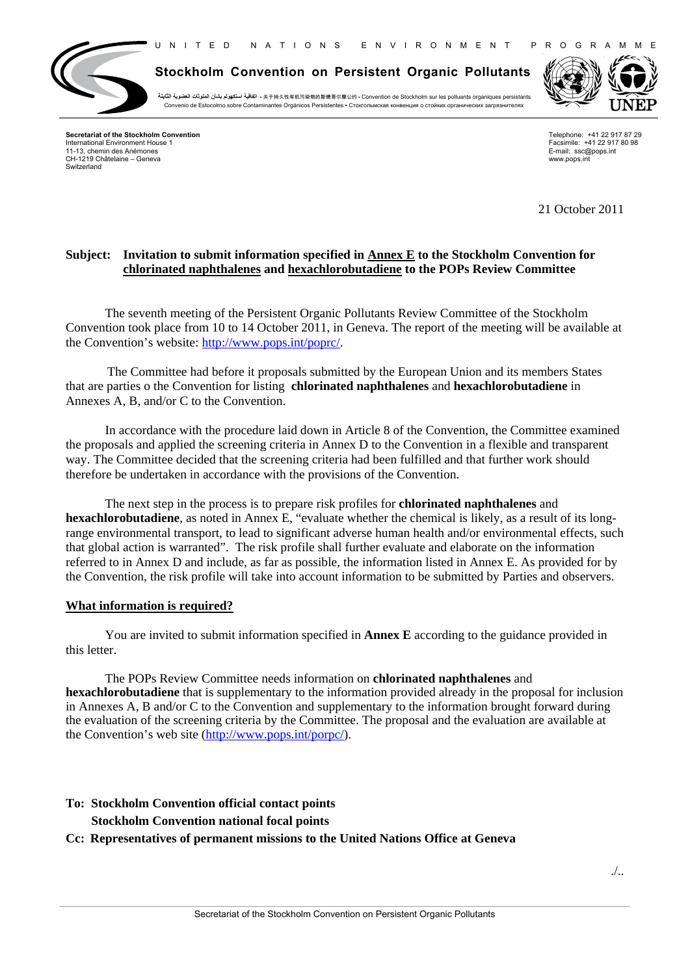

**Stockholm Convention on Persistent Organic Pollutants**

**الثابتة العضوية الملوثات بشأن استكھولم اتفاقية** ▪ 关于持久性有机污染物的斯德哥尔摩公约 ▪ Convention de Stockholm sur les polluants organiques persistants Convenio de Estocolmo sobre Contaminantes Orgánicos Persistentes ▪ Стокгольмскaя конвенция о стойких органических загрязнителях



**Secretariat of the Stockholm Convention** International Environment House 1 11-13, chemin des Anémones CH-1219 Châtelaine – Geneva Switzerland

Telephone: +41 22 917 87 29 Facsimile: +41 22 917 80 98 E-mail: ssc@pops.int www.pops.int

21 October 2011

# **Subject: Invitation to submit information specified in Annex E to the Stockholm Convention for chlorinated naphthalenes and hexachlorobutadiene to the POPs Review Committee**

The seventh meeting of the Persistent Organic Pollutants Review Committee of the Stockholm Convention took place from 10 to 14 October 2011, in Geneva. The report of the meeting will be available at the Convention's website: http://www.pops.int/poprc/.

The Committee had before it proposals submitted by the European Union and its members States that are parties o the Convention for listing **chlorinated naphthalenes** and **hexachlorobutadiene** in Annexes A, B, and/or C to the Convention.

In accordance with the procedure laid down in Article 8 of the Convention, the Committee examined the proposals and applied the screening criteria in Annex D to the Convention in a flexible and transparent way. The Committee decided that the screening criteria had been fulfilled and that further work should therefore be undertaken in accordance with the provisions of the Convention.

The next step in the process is to prepare risk profiles for **chlorinated naphthalenes** and **hexachlorobutadiene**, as noted in Annex E, "evaluate whether the chemical is likely, as a result of its longrange environmental transport, to lead to significant adverse human health and/or environmental effects, such that global action is warranted". The risk profile shall further evaluate and elaborate on the information referred to in Annex D and include, as far as possible, the information listed in Annex E. As provided for by the Convention, the risk profile will take into account information to be submitted by Parties and observers.

## **What information is required?**

You are invited to submit information specified in **Annex E** according to the guidance provided in this letter.

The POPs Review Committee needs information on **chlorinated naphthalenes** and **hexachlorobutadiene** that is supplementary to the information provided already in the proposal for inclusion in Annexes A, B and/or C to the Convention and supplementary to the information brought forward during the evaluation of the screening criteria by the Committee. The proposal and the evaluation are available at the Convention's web site (http://www.pops.int/porpc/).

# **To: Stockholm Convention official contact points Stockholm Convention national focal points**

## **Cc: Representatives of permanent missions to the United Nations Office at Geneva**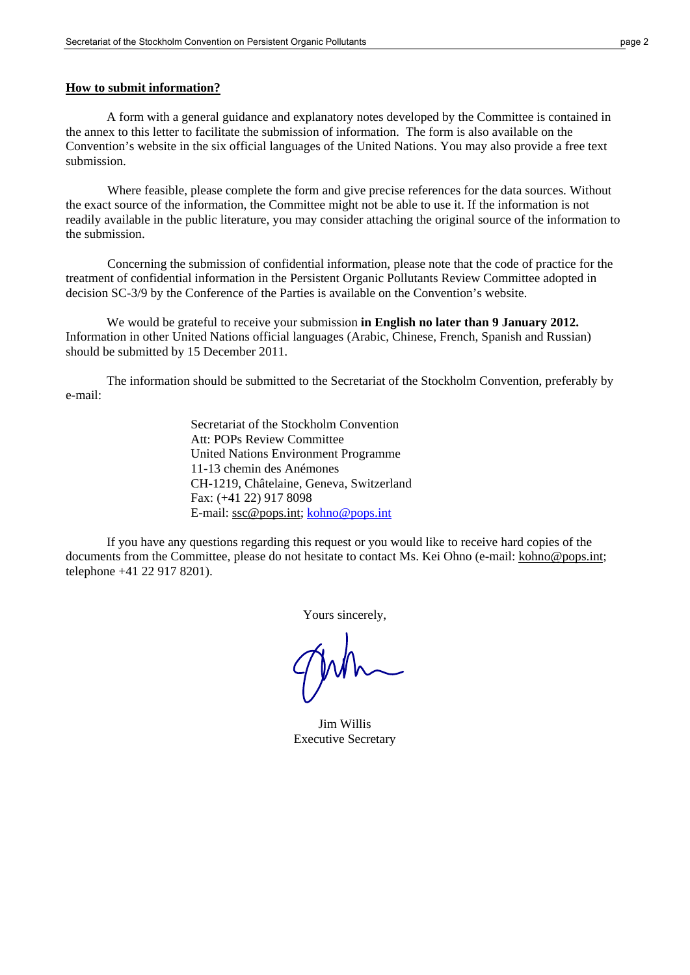#### **How to submit information?**

A form with a general guidance and explanatory notes developed by the Committee is contained in the annex to this letter to facilitate the submission of information. The form is also available on the Convention's website in the six official languages of the United Nations. You may also provide a free text submission.

Where feasible, please complete the form and give precise references for the data sources. Without the exact source of the information, the Committee might not be able to use it. If the information is not readily available in the public literature, you may consider attaching the original source of the information to the submission.

Concerning the submission of confidential information, please note that the code of practice for the treatment of confidential information in the Persistent Organic Pollutants Review Committee adopted in decision SC-3/9 by the Conference of the Parties is available on the Convention's website.

We would be grateful to receive your submission **in English no later than 9 January 2012.**  Information in other United Nations official languages (Arabic, Chinese, French, Spanish and Russian) should be submitted by 15 December 2011.

The information should be submitted to the Secretariat of the Stockholm Convention, preferably by e-mail:

> Secretariat of the Stockholm Convention Att: POPs Review Committee United Nations Environment Programme 11-13 chemin des Anémones CH-1219, Châtelaine, Geneva, Switzerland Fax: (+41 22) 917 8098 E-mail: ssc@pops.int; kohno@pops.int

If you have any questions regarding this request or you would like to receive hard copies of the documents from the Committee, please do not hesitate to contact Ms. Kei Ohno (e-mail: kohno@pops.int; telephone +41 22 917 8201).

Yours sincerely,

Jim Willis Executive Secretary